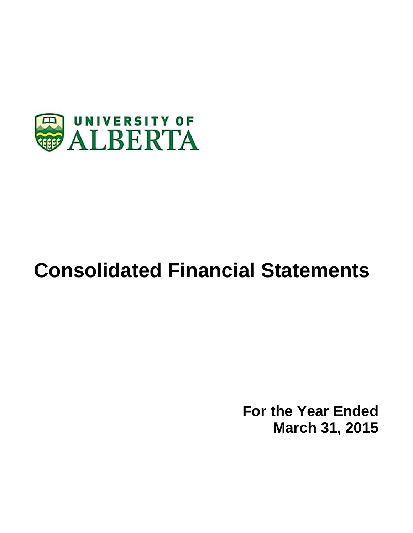

# **Consolidated Financial Statements**

**For the Year Ended March 31, 2015**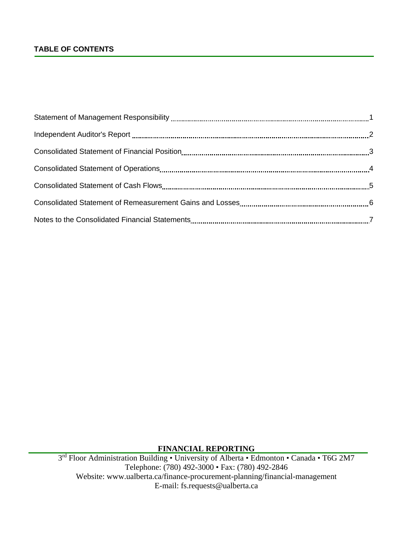# **TABLE OF CONTENTS**

# **FINANCIAL REPORTING**

3rd Floor Administration Building • University of Alberta • Edmonton • Canada • T6G 2M7 Telephone: (780) 492-3000 • Fax: (780) 492-2846 Website: www.ualberta.ca/finance-procurement-planning/financial-management E-mail: fs.requests@ualberta.ca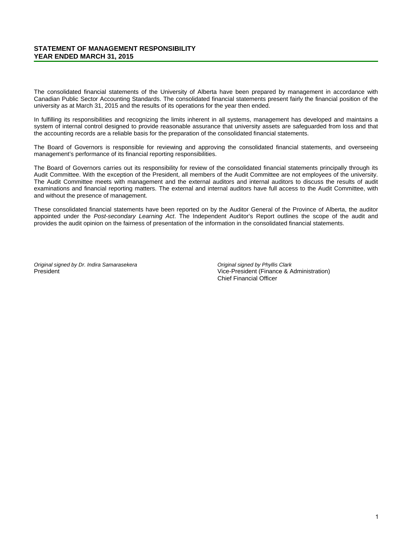# **STATEMENT OF MANAGEMENT RESPONSIBILITY YEAR ENDED MARCH 31, 2015**

The consolidated financial statements of the University of Alberta have been prepared by management in accordance with Canadian Public Sector Accounting Standards. The consolidated financial statements present fairly the financial position of the university as at March 31, 2015 and the results of its operations for the year then ended.

In fulfilling its responsibilities and recognizing the limits inherent in all systems, management has developed and maintains a system of internal control designed to provide reasonable assurance that university assets are safeguarded from loss and that the accounting records are a reliable basis for the preparation of the consolidated financial statements.

The Board of Governors is responsible for reviewing and approving the consolidated financial statements, and overseeing management's performance of its financial reporting responsibilities.

The Board of Governors carries out its responsibility for review of the consolidated financial statements principally through its Audit Committee. With the exception of the President, all members of the Audit Committee are not employees of the university. The Audit Committee meets with management and the external auditors and internal auditors to discuss the results of audit examinations and financial reporting matters. The external and internal auditors have full access to the Audit Committee, with and without the presence of management.

These consolidated financial statements have been reported on by the Auditor General of the Province of Alberta, the auditor appointed under the *Post-secondary Learning Act*. The Independent Auditor's Report outlines the scope of the audit and provides the audit opinion on the fairness of presentation of the information in the consolidated financial statements.

*Original signed by Dr. Indira Samarasekera* **President** 

*Original signed by Phyllis Clark* Vice-President (Finance & Administration) Chief Financial Officer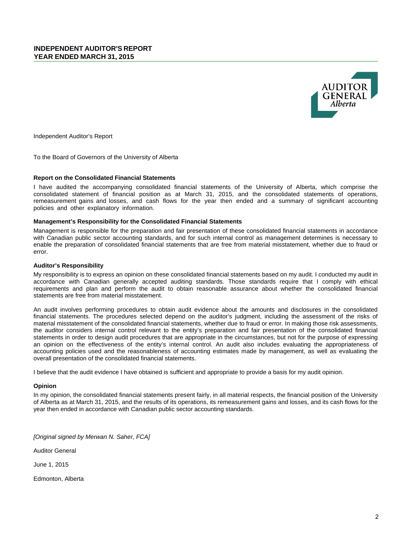

Independent Auditor's Report

To the Board of Governors of the University of Alberta

#### **Report on the Consolidated Financial Statements**

I have audited the accompanying consolidated financial statements of the University of Alberta, which comprise the consolidated statement of financial position as at March 31, 2015, and the consolidated statements of operations, remeasurement gains and losses, and cash flows for the year then ended and a summary of significant accounting policies and other explanatory information.

#### **Management's Responsibility for the Consolidated Financial Statements**

Management is responsible for the preparation and fair presentation of these consolidated financial statements in accordance with Canadian public sector accounting standards, and for such internal control as management determines is necessary to enable the preparation of consolidated financial statements that are free from material misstatement, whether due to fraud or error.

#### **Auditor's Responsibility**

My responsibility is to express an opinion on these consolidated financial statements based on my audit. I conducted my audit in accordance with Canadian generally accepted auditing standards. Those standards require that I comply with ethical requirements and plan and perform the audit to obtain reasonable assurance about whether the consolidated financial statements are free from material misstatement.

An audit involves performing procedures to obtain audit evidence about the amounts and disclosures in the consolidated financial statements. The procedures selected depend on the auditor's judgment, including the assessment of the risks of material misstatement of the consolidated financial statements, whether due to fraud or error. In making those risk assessments, the auditor considers internal control relevant to the entity's preparation and fair presentation of the consolidated financial statements in order to design audit procedures that are appropriate in the circumstances, but not for the purpose of expressing an opinion on the effectiveness of the entity's internal control. An audit also includes evaluating the appropriateness of accounting policies used and the reasonableness of accounting estimates made by management, as well as evaluating the overall presentation of the consolidated financial statements.

I believe that the audit evidence I have obtained is sufficient and appropriate to provide a basis for my audit opinion.

#### **Opinion**

In my opinion, the consolidated financial statements present fairly, in all material respects, the financial position of the University of Alberta as at March 31, 2015, and the results of its operations, its remeasurement gains and losses, and its cash flows for the year then ended in accordance with Canadian public sector accounting standards.

*[Original signed by Merwan N. Saher, FCA]*

Auditor General

June 1, 2015

Edmonton, Alberta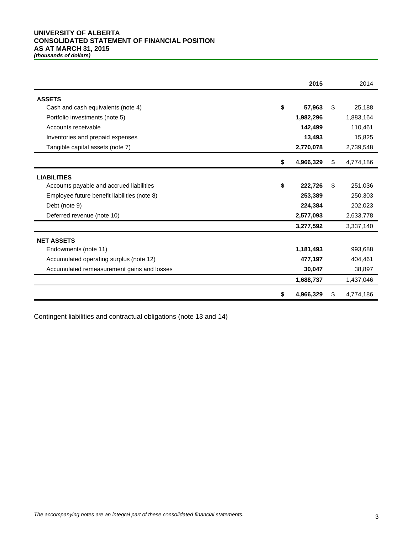# **UNIVERSITY OF ALBERTA CONSOLIDATED STATEMENT OF FINANCIAL POSITION AS AT MARCH 31, 2015** *(thousands of dollars)*

|                                              | 2015            |    | 2014      |
|----------------------------------------------|-----------------|----|-----------|
| <b>ASSETS</b>                                |                 |    |           |
| Cash and cash equivalents (note 4)           | \$<br>57,963    | \$ | 25,188    |
| Portfolio investments (note 5)               | 1,982,296       |    | 1,883,164 |
| Accounts receivable                          | 142,499         |    | 110,461   |
| Inventories and prepaid expenses             | 13,493          |    | 15,825    |
| Tangible capital assets (note 7)             | 2,770,078       |    | 2,739,548 |
|                                              | \$<br>4,966,329 | \$ | 4,774,186 |
| <b>LIABILITIES</b>                           |                 |    |           |
| Accounts payable and accrued liabilities     | \$<br>222,726   | \$ | 251,036   |
| Employee future benefit liabilities (note 8) | 253,389         |    | 250,303   |
| Debt (note 9)                                | 224,384         |    | 202,023   |
| Deferred revenue (note 10)                   | 2,577,093       |    | 2,633,778 |
|                                              | 3,277,592       |    | 3,337,140 |
| <b>NET ASSETS</b>                            |                 |    |           |
| Endowments (note 11)                         | 1,181,493       |    | 993,688   |
| Accumulated operating surplus (note 12)      | 477,197         |    | 404,461   |
| Accumulated remeasurement gains and losses   | 30,047          |    | 38,897    |
|                                              | 1,688,737       |    | 1,437,046 |
|                                              | \$<br>4,966,329 | S  | 4,774,186 |

Contingent liabilities and contractual obligations (note 13 and 14)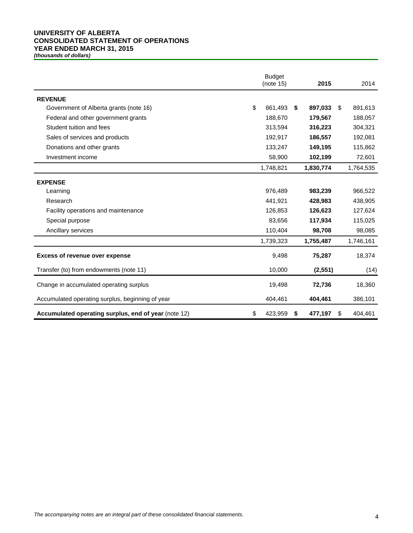# **UNIVERSITY OF ALBERTA CONSOLIDATED STATEMENT OF OPERATIONS YEAR ENDED MARCH 31, 2015**

*(thousands of dollars)*

|                                                      | <b>Budget</b><br>(note 15) |    | 2015      | 2014          |
|------------------------------------------------------|----------------------------|----|-----------|---------------|
| <b>REVENUE</b>                                       |                            |    |           |               |
| Government of Alberta grants (note 16)               | \$<br>861,493              | \$ | 897,033   | \$<br>891,613 |
| Federal and other government grants                  | 188,670                    |    | 179,567   | 188,057       |
| Student tuition and fees                             | 313,594                    |    | 316,223   | 304,321       |
| Sales of services and products                       | 192,917                    |    | 186,557   | 192,081       |
| Donations and other grants                           | 133,247                    |    | 149,195   | 115,862       |
| Investment income                                    | 58,900                     |    | 102,199   | 72,601        |
|                                                      | 1,748,821                  |    | 1,830,774 | 1,764,535     |
| <b>EXPENSE</b>                                       |                            |    |           |               |
| Learning                                             | 976,489                    |    | 983,239   | 966,522       |
| Research                                             | 441,921                    |    | 428,983   | 438,905       |
| Facility operations and maintenance                  | 126,853                    |    | 126,623   | 127,624       |
| Special purpose                                      | 83,656                     |    | 117,934   | 115,025       |
| Ancillary services                                   | 110,404                    |    | 98,708    | 98,085        |
|                                                      | 1,739,323                  |    | 1,755,487 | 1,746,161     |
| <b>Excess of revenue over expense</b>                | 9,498                      |    | 75,287    | 18,374        |
| Transfer (to) from endowments (note 11)              | 10,000                     |    | (2, 551)  | (14)          |
| Change in accumulated operating surplus              | 19,498                     |    | 72,736    | 18,360        |
| Accumulated operating surplus, beginning of year     | 404,461                    |    | 404,461   | 386,101       |
| Accumulated operating surplus, end of year (note 12) | \$<br>423,959              | S  | 477,197   | \$<br>404,461 |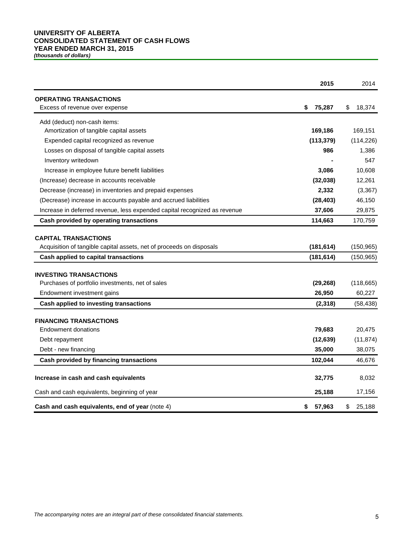# **UNIVERSITY OF ALBERTA CONSOLIDATED STATEMENT OF CASH FLOWS YEAR ENDED MARCH 31, 2015**

*(thousands of dollars)*

|                                                                                                              | 2015         | 2014         |
|--------------------------------------------------------------------------------------------------------------|--------------|--------------|
| <b>OPERATING TRANSACTIONS</b>                                                                                |              |              |
| Excess of revenue over expense                                                                               | \$<br>75,287 | \$<br>18,374 |
| Add (deduct) non-cash items:                                                                                 |              |              |
| Amortization of tangible capital assets                                                                      | 169,186      | 169,151      |
| Expended capital recognized as revenue                                                                       | (113, 379)   | (114, 226)   |
| Losses on disposal of tangible capital assets                                                                | 986          | 1,386        |
| Inventory writedown                                                                                          |              | 547          |
| Increase in employee future benefit liabilities                                                              | 3,086        | 10,608       |
| (Increase) decrease in accounts receivable                                                                   | (32,038)     | 12,261       |
| Decrease (increase) in inventories and prepaid expenses                                                      | 2,332        | (3, 367)     |
| (Decrease) increase in accounts payable and accrued liabilities                                              | (28, 403)    | 46,150       |
| Increase in deferred revenue, less expended capital recognized as revenue                                    | 37,606       | 29,875       |
| Cash provided by operating transactions                                                                      | 114,663      | 170,759      |
|                                                                                                              |              |              |
| <b>CAPITAL TRANSACTIONS</b>                                                                                  |              |              |
| Acquisition of tangible capital assets, net of proceeds on disposals<br>Cash applied to capital transactions | (181, 614)   | (150, 965)   |
|                                                                                                              | (181, 614)   | (150, 965)   |
| <b>INVESTING TRANSACTIONS</b>                                                                                |              |              |
| Purchases of portfolio investments, net of sales                                                             | (29, 268)    | (118, 665)   |
| Endowment investment gains                                                                                   | 26,950       | 60,227       |
| Cash applied to investing transactions                                                                       | (2,318)      | (58, 438)    |
| <b>FINANCING TRANSACTIONS</b>                                                                                |              |              |
| <b>Endowment donations</b>                                                                                   | 79,683       | 20,475       |
| Debt repayment                                                                                               | (12, 639)    | (11, 874)    |
| Debt - new financing                                                                                         | 35,000       | 38,075       |
| Cash provided by financing transactions                                                                      | 102,044      | 46,676       |
| Increase in cash and cash equivalents                                                                        | 32,775       | 8,032        |
| Cash and cash equivalents, beginning of year                                                                 | 25,188       | 17,156       |
|                                                                                                              |              |              |
| <b>Cash and cash equivalents, end of year (note 4)</b>                                                       | 57,963<br>\$ | \$<br>25,188 |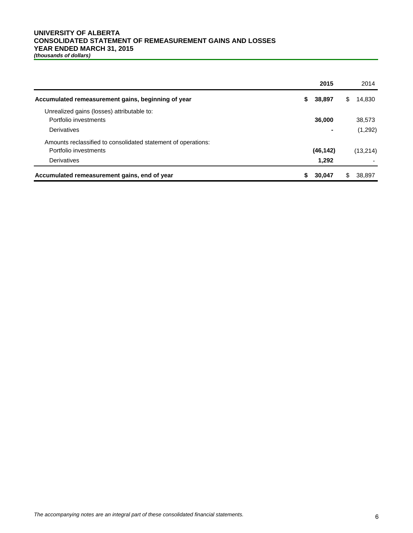# **UNIVERSITY OF ALBERTA CONSOLIDATED STATEMENT OF REMEASUREMENT GAINS AND LOSSES YEAR ENDED MARCH 31, 2015**

*(thousands of dollars)*

|                                                               | 2015         | 2014         |
|---------------------------------------------------------------|--------------|--------------|
| Accumulated remeasurement gains, beginning of year            | 38,897<br>S. | 14,830<br>S. |
| Unrealized gains (losses) attributable to:                    |              |              |
| Portfolio investments                                         | 36,000       | 38,573       |
| Derivatives                                                   |              | (1,292)      |
| Amounts reclassified to consolidated statement of operations: |              |              |
| Portfolio investments                                         | (46, 142)    | (13,214)     |
| Derivatives                                                   | 1,292        |              |
| Accumulated remeasurement gains, end of year                  | 30,047       | 38.897       |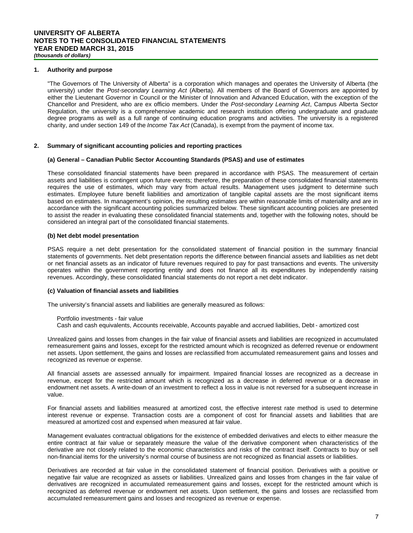#### **1. Authority and purpose**

"The Governors of The University of Alberta" is a corporation which manages and operates the University of Alberta (the university) under the *Post-secondary Learning Act* (Alberta). All members of the Board of Governors are appointed by either the Lieutenant Governor in Council or the Minister of Innovation and Advanced Education, with the exception of the Chancellor and President, who are ex officio members. Under the *Post-secondary Learning Act*, Campus Alberta Sector Regulation, the university is a comprehensive academic and research institution offering undergraduate and graduate degree programs as well as a full range of continuing education programs and activities. The university is a registered charity, and under section 149 of the *Income Tax Act* (Canada), is exempt from the payment of income tax.

#### **2. Summary of significant accounting policies and reporting practices**

#### **(a) General – Canadian Public Sector Accounting Standards (PSAS) and use of estimates**

These consolidated financial statements have been prepared in accordance with PSAS. The measurement of certain assets and liabilities is contingent upon future events; therefore, the preparation of these consolidated financial statements requires the use of estimates, which may vary from actual results. Management uses judgment to determine such estimates. Employee future benefit liabilities and amortization of tangible capital assets are the most significant items based on estimates. In management's opinion, the resulting estimates are within reasonable limits of materiality and are in accordance with the significant accounting policies summarized below. These significant accounting policies are presented to assist the reader in evaluating these consolidated financial statements and, together with the following notes, should be considered an integral part of the consolidated financial statements.

#### **(b) Net debt model presentation**

PSAS require a net debt presentation for the consolidated statement of financial position in the summary financial statements of governments. Net debt presentation reports the difference between financial assets and liabilities as net debt or net financial assets as an indicator of future revenues required to pay for past transactions and events. The university operates within the government reporting entity and does not finance all its expenditures by independently raising revenues. Accordingly, these consolidated financial statements do not report a net debt indicator.

#### **(c) Valuation of financial assets and liabilities**

The university's financial assets and liabilities are generally measured as follows:

Cash and cash equivalents, Accounts receivable, Accounts payable and accrued liabilities, Debt - amortized cost

Unrealized gains and losses from changes in the fair value of financial assets and liabilities are recognized in accumulated remeasurement gains and losses, except for the restricted amount which is recognized as deferred revenue or endowment net assets. Upon settlement, the gains and losses are reclassified from accumulated remeasurement gains and losses and recognized as revenue or expense.

All financial assets are assessed annually for impairment. Impaired financial losses are recognized as a decrease in revenue, except for the restricted amount which is recognized as a decrease in deferred revenue or a decrease in endowment net assets. A write-down of an investment to reflect a loss in value is not reversed for a subsequent increase in value.

For financial assets and liabilities measured at amortized cost, the effective interest rate method is used to determine interest revenue or expense. Transaction costs are a component of cost for financial assets and liabilities that are measured at amortized cost and expensed when measured at fair value.

Management evaluates contractual obligations for the existence of embedded derivatives and elects to either measure the entire contract at fair value or separately measure the value of the derivative component when characteristics of the derivative are not closely related to the economic characteristics and risks of the contract itself. Contracts to buy or sell non-financial items for the university's normal course of business are not recognized as financial assets or liabilities.

Derivatives are recorded at fair value in the consolidated statement of financial position. Derivatives with a positive or negative fair value are recognized as assets or liabilities. Unrealized gains and losses from changes in the fair value of derivatives are recognized in accumulated remeasurement gains and losses, except for the restricted amount which is recognized as deferred revenue or endowment net assets. Upon settlement, the gains and losses are reclassified from accumulated remeasurement gains and losses and recognized as revenue or expense.

Portfolio investments - fair value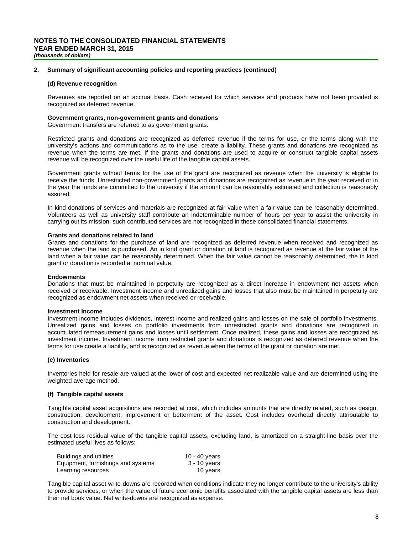#### **2. Summary of significant accounting policies and reporting practices (continued)**

#### **(d) Revenue recognition**

Revenues are reported on an accrual basis. Cash received for which services and products have not been provided is recognized as deferred revenue.

#### **Government grants, non-government grants and donations**

Government transfers are referred to as government grants.

Restricted grants and donations are recognized as deferred revenue if the terms for use, or the terms along with the university's actions and communications as to the use, create a liability. These grants and donations are recognized as revenue when the terms are met. If the grants and donations are used to acquire or construct tangible capital assets revenue will be recognized over the useful life of the tangible capital assets.

Government grants without terms for the use of the grant are recognized as revenue when the university is eligible to receive the funds. Unrestricted non-government grants and donations are recognized as revenue in the year received or in the year the funds are committed to the university if the amount can be reasonably estimated and collection is reasonably assured.

In kind donations of services and materials are recognized at fair value when a fair value can be reasonably determined. Volunteers as well as university staff contribute an indeterminable number of hours per year to assist the university in carrying out its mission; such contributed services are not recognized in these consolidated financial statements.

#### **Grants and donations related to land**

Grants and donations for the purchase of land are recognized as deferred revenue when received and recognized as revenue when the land is purchased. An in kind grant or donation of land is recognized as revenue at the fair value of the land when a fair value can be reasonably determined. When the fair value cannot be reasonably determined, the in kind grant or donation is recorded at nominal value.

#### **Endowments**

Donations that must be maintained in perpetuity are recognized as a direct increase in endowment net assets when received or receivable. Investment income and unrealized gains and losses that also must be maintained in perpetuity are recognized as endowment net assets when received or receivable.

#### **Investment income**

Investment income includes dividends, interest income and realized gains and losses on the sale of portfolio investments. Unrealized gains and losses on portfolio investments from unrestricted grants and donations are recognized in accumulated remeasurement gains and losses until settlement. Once realized, these gains and losses are recognized as investment income. Investment income from restricted grants and donations is recognized as deferred revenue when the terms for use create a liability, and is recognized as revenue when the terms of the grant or donation are met.

#### **(e) Inventories**

Inventories held for resale are valued at the lower of cost and expected net realizable value and are determined using the weighted average method.

#### **(f) Tangible capital assets**

Tangible capital asset acquisitions are recorded at cost, which includes amounts that are directly related, such as design, construction, development, improvement or betterment of the asset. Cost includes overhead directly attributable to construction and development.

The cost less residual value of the tangible capital assets, excluding land, is amortized on a straight-line basis over the estimated useful lives as follows:

| Buildings and utilities            | 10 - 40 years |
|------------------------------------|---------------|
| Equipment, furnishings and systems | 3 - 10 years  |
| Learning resources                 | 10 years      |

Tangible capital asset write-downs are recorded when conditions indicate they no longer contribute to the university's ability to provide services, or when the value of future economic benefits associated with the tangible capital assets are less than their net book value. Net write-downs are recognized as expense.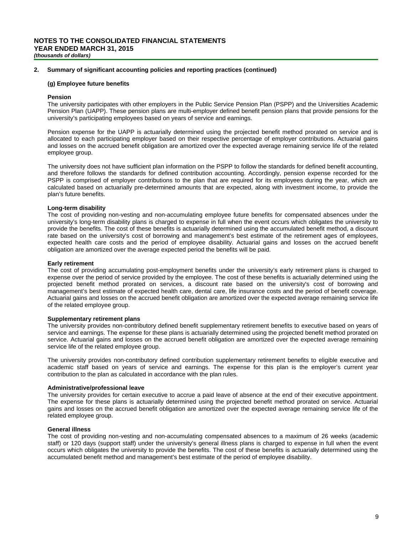#### **2. Summary of significant accounting policies and reporting practices (continued)**

#### **(g) Employee future benefits**

#### **Pension**

The university participates with other employers in the Public Service Pension Plan (PSPP) and the Universities Academic Pension Plan (UAPP). These pension plans are multi-employer defined benefit pension plans that provide pensions for the university's participating employees based on years of service and earnings.

Pension expense for the UAPP is actuarially determined using the projected benefit method prorated on service and is allocated to each participating employer based on their respective percentage of employer contributions. Actuarial gains and losses on the accrued benefit obligation are amortized over the expected average remaining service life of the related employee group.

The university does not have sufficient plan information on the PSPP to follow the standards for defined benefit accounting, and therefore follows the standards for defined contribution accounting. Accordingly, pension expense recorded for the PSPP is comprised of employer contributions to the plan that are required for its employees during the year, which are calculated based on actuarially pre-determined amounts that are expected, along with investment income, to provide the plan's future benefits.

# **Long-term disability**

The cost of providing non-vesting and non-accumulating employee future benefits for compensated absences under the university's long-term disability plans is charged to expense in full when the event occurs which obligates the university to provide the benefits. The cost of these benefits is actuarially determined using the accumulated benefit method, a discount rate based on the university's cost of borrowing and management's best estimate of the retirement ages of employees, expected health care costs and the period of employee disability. Actuarial gains and losses on the accrued benefit obligation are amortized over the average expected period the benefits will be paid.

#### **Early retirement**

The cost of providing accumulating post-employment benefits under the university's early retirement plans is charged to expense over the period of service provided by the employee. The cost of these benefits is actuarially determined using the projected benefit method prorated on services, a discount rate based on the university's cost of borrowing and management's best estimate of expected health care, dental care, life insurance costs and the period of benefit coverage. Actuarial gains and losses on the accrued benefit obligation are amortized over the expected average remaining service life of the related employee group.

#### **Supplementary retirement plans**

The university provides non-contributory defined benefit supplementary retirement benefits to executive based on years of service and earnings. The expense for these plans is actuarially determined using the projected benefit method prorated on service. Actuarial gains and losses on the accrued benefit obligation are amortized over the expected average remaining service life of the related employee group.

The university provides non-contributory defined contribution supplementary retirement benefits to eligible executive and academic staff based on years of service and earnings. The expense for this plan is the employer's current year contribution to the plan as calculated in accordance with the plan rules.

# **Administrative/professional leave**

The university provides for certain executive to accrue a paid leave of absence at the end of their executive appointment. The expense for these plans is actuarially determined using the projected benefit method prorated on service. Actuarial gains and losses on the accrued benefit obligation are amortized over the expected average remaining service life of the related employee group.

#### **General illness**

The cost of providing non-vesting and non-accumulating compensated absences to a maximum of 26 weeks (academic staff) or 120 days (support staff) under the university's general illness plans is charged to expense in full when the event occurs which obligates the university to provide the benefits. The cost of these benefits is actuarially determined using the accumulated benefit method and management's best estimate of the period of employee disability.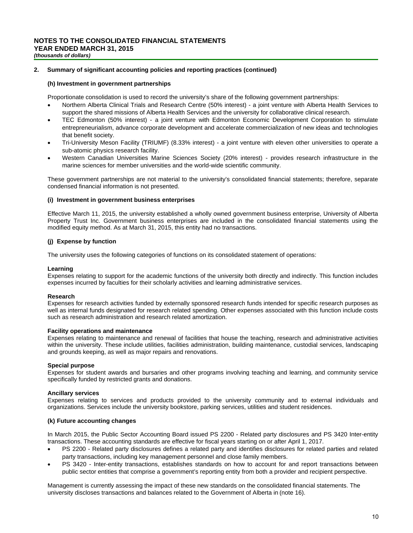# **2. Summary of significant accounting policies and reporting practices (continued)**

# **(h) Investment in government partnerships**

Proportionate consolidation is used to record the university's share of the following government partnerships:

- Northern Alberta Clinical Trials and Research Centre (50% interest) a joint venture with Alberta Health Services to support the shared missions of Alberta Health Services and the university for collaborative clinical research.
- TEC Edmonton (50% interest) a joint venture with Edmonton Economic Development Corporation to stimulate entrepreneurialism, advance corporate development and accelerate commercialization of new ideas and technologies that benefit society.
- Tri-University Meson Facility (TRIUMF) (8.33% interest) a joint venture with eleven other universities to operate a sub-atomic physics research facility.
- Western Canadian Universities Marine Sciences Society (20% interest) provides research infrastructure in the marine sciences for member universities and the world-wide scientific community.

These government partnerships are not material to the university's consolidated financial statements; therefore, separate condensed financial information is not presented.

#### **(i) Investment in government business enterprises**

Effective March 11, 2015, the university established a wholly owned government business enterprise, University of Alberta Property Trust Inc. Government business enterprises are included in the consolidated financial statements using the modified equity method. As at March 31, 2015, this entity had no transactions.

# **(j) Expense by function**

The university uses the following categories of functions on its consolidated statement of operations:

#### **Learning**

Expenses relating to support for the academic functions of the university both directly and indirectly. This function includes expenses incurred by faculties for their scholarly activities and learning administrative services.

# **Research**

Expenses for research activities funded by externally sponsored research funds intended for specific research purposes as well as internal funds designated for research related spending. Other expenses associated with this function include costs such as research administration and research related amortization.

#### **Facility operations and maintenance**

Expenses relating to maintenance and renewal of facilities that house the teaching, research and administrative activities within the university. These include utilities, facilities administration, building maintenance, custodial services, landscaping and grounds keeping, as well as major repairs and renovations.

#### **Special purpose**

Expenses for student awards and bursaries and other programs involving teaching and learning, and community service specifically funded by restricted grants and donations.

# **Ancillary services**

Expenses relating to services and products provided to the university community and to external individuals and organizations. Services include the university bookstore, parking services, utilities and student residences.

# **(k) Future accounting changes**

In March 2015, the Public Sector Accounting Board issued PS 2200 - Related party disclosures and PS 3420 Inter-entity transactions. These accounting standards are effective for fiscal years starting on or after April 1, 2017.

- PS 2200 Related party disclosures defines a related party and identifies disclosures for related parties and related party transactions, including key management personnel and close family members.
- PS 3420 Inter-entity transactions, establishes standards on how to account for and report transactions between public sector entities that comprise a government's reporting entity from both a provider and recipient perspective.

Management is currently assessing the impact of these new standards on the consolidated financial statements. The university discloses transactions and balances related to the Government of Alberta in (note 16).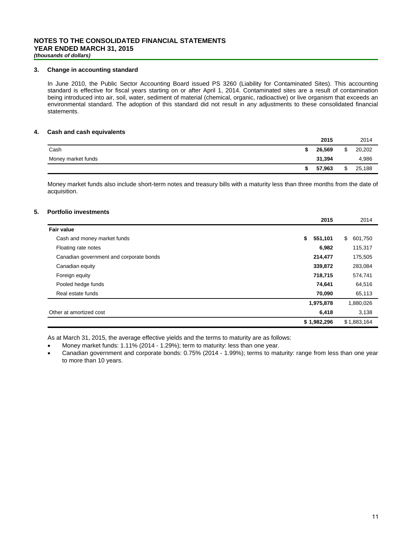# **3. Change in accounting standard**

In June 2010, the Public Sector Accounting Board issued PS 3260 (Liability for Contaminated Sites). This accounting standard is effective for fiscal years starting on or after April 1, 2014. Contaminated sites are a result of contamination being introduced into air, soil, water, sediment of material (chemical, organic, radioactive) or live organism that exceeds an environmental standard. The adoption of this standard did not result in any adjustments to these consolidated financial statements.

#### **4. Cash and cash equivalents**

|                    | 2015   |     | 2014   |
|--------------------|--------|-----|--------|
| Cash               | 26,569 | -\$ | 20,202 |
| Money market funds | 31,394 |     | 4,986  |
|                    | 57,963 | \$  | 25,188 |

Money market funds also include short-term notes and treasury bills with a maturity less than three months from the date of acquisition.

# **5. Portfolio investments**

|                                         | 2015          | 2014          |
|-----------------------------------------|---------------|---------------|
| <b>Fair value</b>                       |               |               |
| Cash and money market funds             | \$<br>551,101 | \$<br>601,750 |
| Floating rate notes                     | 6,982         | 115,317       |
| Canadian government and corporate bonds | 214,477       | 175,505       |
| Canadian equity                         | 339,872       | 283,084       |
| Foreign equity                          | 718,715       | 574,741       |
| Pooled hedge funds                      | 74,641        | 64,516        |
| Real estate funds                       | 70,090        | 65,113        |
|                                         | 1,975,878     | 1,880,026     |
| Other at amortized cost                 | 6,418         | 3,138         |
|                                         | \$1,982,296   | \$1,883,164   |

As at March 31, 2015, the average effective yields and the terms to maturity are as follows:

- Money market funds: 1.11% (2014 1.29%); term to maturity: less than one year.
- Canadian government and corporate bonds: 0.75% (2014 1.99%); terms to maturity: range from less than one year to more than 10 years.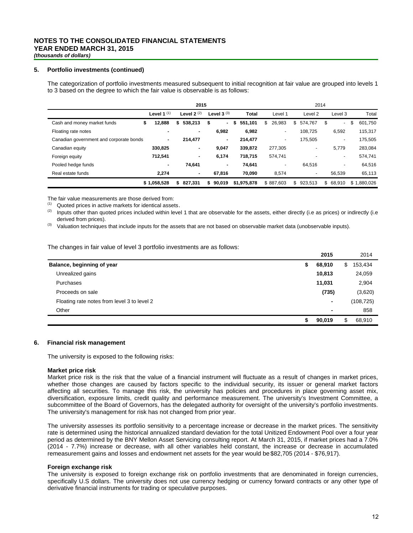# **5. Portfolio investments (continued)**

The categorization of portfolio investments measured subsequent to initial recognition at fair value are grouped into levels 1 to 3 based on the degree to which the fair value is observable is as follows:

| 2015                                    |               |               |                          |               | 2014                     |                    |                          |               |
|-----------------------------------------|---------------|---------------|--------------------------|---------------|--------------------------|--------------------|--------------------------|---------------|
|                                         | Level 1 $(1)$ | Level $2(2)$  | Level $3^{(3)}$          | <b>Total</b>  | Level 1                  | Level <sub>2</sub> | Level 3                  | Total         |
| Cash and money market funds             | 12.888<br>\$  | 538,213<br>S  | \$<br>$\sim$             | 551,101<br>-S | 26,983<br>\$             | \$574.767          | S<br>$\sim$              | \$<br>601.750 |
| Floating rate notes                     |               | ٠             | 6,982                    | 6,982         | $\sim$                   | 108.725            | 6,592                    | 115,317       |
| Canadian government and corporate bonds |               | 214,477       | $\overline{\phantom{a}}$ | 214,477       | $\overline{\phantom{a}}$ | 175,505            | $\overline{\phantom{0}}$ | 175,505       |
| Canadian equity                         | 330,825       | ٠             | 9,047                    | 339,872       | 277,305                  | -                  | 5,779                    | 283,084       |
| Foreign equity                          | 712.541       | ٠             | 6,174                    | 718.715       | 574,741                  |                    | $\overline{\phantom{0}}$ | 574,741       |
| Pooled hedge funds                      | ٠             | 74,641        |                          | 74.641        | -                        | 64.516             | $\overline{\phantom{0}}$ | 64.516        |
| Real estate funds                       | 2,274         | ٠             | 67,816                   | 70,090        | 8,574                    | ۰                  | 56,539                   | 65,113        |
|                                         | \$1.058.528   | 827.331<br>\$ | 90.019<br>s.             | \$1.975.878   | \$887.603                | \$923.513          | \$68.910                 | \$1.880.026   |

The fair value measurements are those derived from:

 $(1)$  Quoted prices in active markets for identical assets.

Inputs other than quoted prices included within level 1 that are observable for the assets, either directly (i.e as prices) or indirectly (i.e derived from prices).

(3) Valuation techniques that include inputs for the assets that are not based on observable market data (unobservable inputs).

The changes in fair value of level 3 portfolio investments are as follows:

|                                             |    | 2015           |     | 2014       |
|---------------------------------------------|----|----------------|-----|------------|
| Balance, beginning of year                  | S  | 68,910         | S   | 153,434    |
| Unrealized gains                            |    | 10,813         |     | 24,059     |
| Purchases                                   |    | 11,031         |     | 2,904      |
| Proceeds on sale                            |    | (735)          |     | (3,620)    |
| Floating rate notes from level 3 to level 2 |    | $\blacksquare$ |     | (108, 725) |
| Other                                       |    | $\blacksquare$ |     | 858        |
|                                             | \$ | 90,019         | \$. | 68,910     |

#### **6. Financial risk management**

The university is exposed to the following risks:

#### **Market price risk**

Market price risk is the risk that the value of a financial instrument will fluctuate as a result of changes in market prices, whether those changes are caused by factors specific to the individual security, its issuer or general market factors affecting all securities. To manage this risk, the university has policies and procedures in place governing asset mix, diversification, exposure limits, credit quality and performance measurement. The university's Investment Committee, a subcommittee of the Board of Governors, has the delegated authority for oversight of the university's portfolio investments. The university's management for risk has not changed from prior year.

The university assesses its portfolio sensitivity to a percentage increase or decrease in the market prices. The sensitivity rate is determined using the historical annualized standard deviation for the total Unitized Endowment Pool over a four year period as determined by the BNY Mellon Asset Servicing consulting report. At March 31, 2015, if market prices had a 7.0% (2014 - 7.7%) increase or decrease, with all other variables held constant, the increase or decrease in accumulated remeasurement gains and losses and endowment net assets for the year would be \$82,705 (2014 - \$76,917).

#### **Foreign exchange risk**

The university is exposed to foreign exchange risk on portfolio investments that are denominated in foreign currencies, specifically U.S dollars. The university does not use currency hedging or currency forward contracts or any other type of derivative financial instruments for trading or speculative purposes.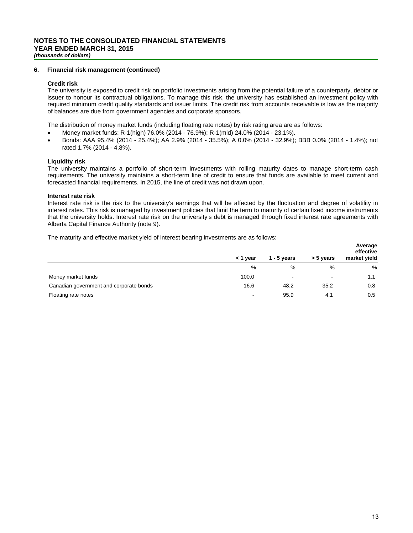# **6. Financial risk management (continued)**

#### **Credit risk**

The university is exposed to credit risk on portfolio investments arising from the potential failure of a counterparty, debtor or issuer to honour its contractual obligations. To manage this risk, the university has established an investment policy with required minimum credit quality standards and issuer limits. The credit risk from accounts receivable is low as the majority of balances are due from government agencies and corporate sponsors.

The distribution of money market funds (including floating rate notes) by risk rating area are as follows:

- Money market funds: R-1(high) 76.0% (2014 76.9%); R-1(mid) 24.0% (2014 23.1%).
- Bonds: AAA 95.4% (2014 25.4%); AA 2.9% (2014 35.5%); A 0.0% (2014 32.9%); BBB 0.0% (2014 1.4%); not rated 1.7% (2014 - 4.8%).

#### **Liquidity risk**

The university maintains a portfolio of short-term investments with rolling maturity dates to manage short-term cash requirements. The university maintains a short-term line of credit to ensure that funds are available to meet current and forecasted financial requirements. In 2015, the line of credit was not drawn upon.

#### **Interest rate risk**

Interest rate risk is the risk to the university's earnings that will be affected by the fluctuation and degree of volatility in interest rates. This risk is managed by investment policies that limit the term to maturity of certain fixed income instruments that the university holds. Interest rate risk on the university's debt is managed through fixed interest rate agreements with Alberta Capital Finance Authority (note 9).

The maturity and effective market yield of interest bearing investments are as follows:

|                                         | < 1 year                 | 1 - 5 years              | > 5 years                | Average<br>effective<br>market yield |
|-----------------------------------------|--------------------------|--------------------------|--------------------------|--------------------------------------|
|                                         | %                        | %                        | %                        | %                                    |
| Money market funds                      | 100.0                    | $\overline{\phantom{a}}$ | $\overline{\phantom{a}}$ | 1.1                                  |
| Canadian government and corporate bonds | 16.6                     | 48.2                     | 35.2                     | 0.8                                  |
| Floating rate notes                     | $\overline{\phantom{a}}$ | 95.9                     | 4.1                      | 0.5                                  |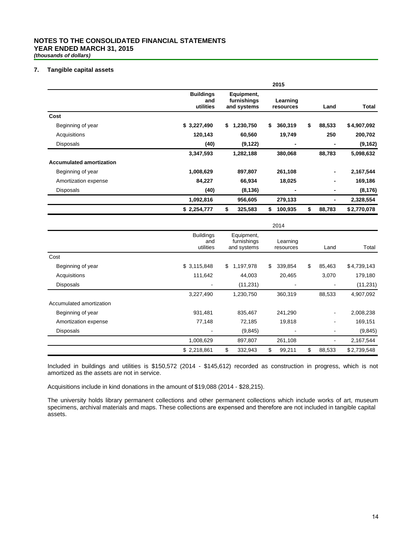# **NOTES TO THE CONSOLIDATED FINANCIAL STATEMENTS YEAR ENDED MARCH 31, 2015** *(thousands of dollars)*

# **7. Tangible capital assets**

|                                 | 2015                                                                                                      |                 |  |               |                |        |             |  |
|---------------------------------|-----------------------------------------------------------------------------------------------------------|-----------------|--|---------------|----------------|--------|-------------|--|
|                                 | <b>Buildings</b><br>Equipment,<br>furnishings<br>Learning<br>and<br>utilities<br>and systems<br>resources |                 |  | Land          | Total          |        |             |  |
| Cost                            |                                                                                                           |                 |  |               |                |        |             |  |
| Beginning of year               | \$3,227,490                                                                                               | \$<br>1,230,750 |  | \$<br>360,319 | \$             | 88,533 | \$4,907,092 |  |
| Acquisitions                    | 120,143                                                                                                   | 60,560          |  | 19,749        |                | 250    | 200,702     |  |
| Disposals                       | (40)                                                                                                      | (9, 122)        |  |               | $\blacksquare$ |        | (9, 162)    |  |
|                                 | 3,347,593                                                                                                 | 1,282,188       |  | 380,068       |                | 88,783 | 5,098,632   |  |
| <b>Accumulated amortization</b> |                                                                                                           |                 |  |               |                |        |             |  |
| Beginning of year               | 1,008,629                                                                                                 | 897,807         |  | 261,108       |                | -      | 2,167,544   |  |
| Amortization expense            | 84,227                                                                                                    | 66,934          |  | 18,025        |                | ٠      | 169,186     |  |
| <b>Disposals</b>                | (40)                                                                                                      | (8, 136)        |  |               | $\blacksquare$ | ٠      | (8, 176)    |  |
|                                 | 1,092,816                                                                                                 | 956,605         |  | 279,133       |                |        | 2,328,554   |  |
|                                 | \$2,254,777                                                                                               | \$<br>325,583   |  | \$<br>100,935 | \$             | 88,783 | \$2,770,078 |  |

|                          |                                      |                                          |         | 2014 |                       |              |             |
|--------------------------|--------------------------------------|------------------------------------------|---------|------|-----------------------|--------------|-------------|
|                          | <b>Buildings</b><br>and<br>utilities | Equipment,<br>furnishings<br>and systems |         |      | Learning<br>resources | Land         | Total       |
| Cost                     |                                      |                                          |         |      |                       |              |             |
| Beginning of year        | \$3,115,848                          | \$<br>1,197,978                          |         | \$   | 339,854               | \$<br>85,463 | \$4,739,143 |
| Acquisitions             | 111,642                              | 44,003                                   |         |      | 20,465                | 3,070        | 179,180     |
| <b>Disposals</b>         |                                      | (11, 231)                                |         |      |                       |              | (11, 231)   |
|                          | 3,227,490                            | 1,230,750                                |         |      | 360,319               | 88,533       | 4,907,092   |
| Accumulated amortization |                                      |                                          |         |      |                       |              |             |
| Beginning of year        | 931,481                              | 835,467                                  |         |      | 241,290               |              | 2,008,238   |
| Amortization expense     | 77,148                               |                                          | 72,185  |      | 19,818                |              | 169,151     |
| <b>Disposals</b>         |                                      |                                          | (9,845) |      |                       |              | (9,845)     |
|                          | 1,008,629                            | 897,807                                  |         |      | 261,108               |              | 2,167,544   |
|                          | \$2,218,861                          | \$<br>332,943                            |         | \$   | 99,211                | \$<br>88,533 | \$2,739,548 |

Included in buildings and utilities is \$150,572 (2014 - \$145,612) recorded as construction in progress, which is not amortized as the assets are not in service.

Acquisitions include in kind donations in the amount of \$19,088 (2014 - \$28,215).

The university holds library permanent collections and other permanent collections which include works of art, museum specimens, archival materials and maps. These collections are expensed and therefore are not included in tangible capital assets.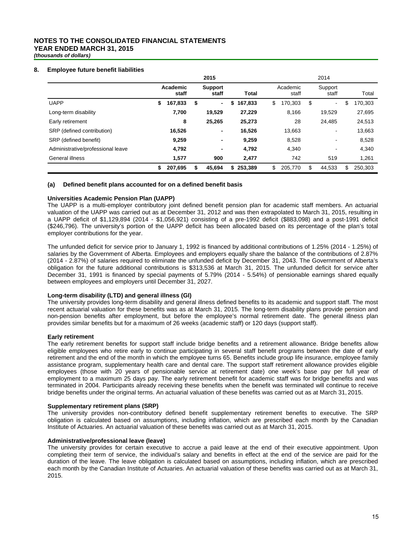# **NOTES TO THE CONSOLIDATED FINANCIAL STATEMENTS YEAR ENDED MARCH 31, 2015**

*(thousands of dollars)*

# **8. Employee future benefit liabilities**

|                                   |                   | 2015                           |               | 2014              |    |                              |    |         |
|-----------------------------------|-------------------|--------------------------------|---------------|-------------------|----|------------------------------|----|---------|
|                                   | Academic<br>staff | <b>Support</b><br>staff        | <b>Total</b>  | Academic<br>staff |    | Support<br>staff             |    | Total   |
| <b>UAPP</b>                       | \$<br>167,833     | \$<br>$\overline{\phantom{0}}$ | \$<br>167,833 | \$<br>170,303     | \$ | ٠                            | \$ | 170,303 |
| Long-term disability              | 7,700             | 19,529                         | 27,229        | 8,166             |    | 19,529                       |    | 27,695  |
| Early retirement                  | 8                 | 25,265                         | 25,273        | 28                |    | 24.485                       |    | 24,513  |
| SRP (defined contribution)        | 16,526            | ٠                              | 16,526        | 13,663            |    | $\qquad \qquad \blacksquare$ |    | 13,663  |
| SRP (defined benefit)             | 9,259             | ٠                              | 9,259         | 8,528             |    | ٠                            |    | 8,528   |
| Administrative/professional leave | 4,792             | ٠                              | 4,792         | 4,340             |    | $\qquad \qquad \blacksquare$ |    | 4,340   |
| General illness                   | 1,577             | 900                            | 2,477         | 742               |    | 519                          |    | 1,261   |
|                                   | \$<br>207,695     | \$<br>45.694                   | \$253,389     | \$<br>205,770     | \$ | 44.533                       | \$ | 250,303 |

# **(a) Defined benefit plans accounted for on a defined benefit basis**

# **Universities Academic Pension Plan (UAPP)**

The UAPP is a multi-employer contributory joint defined benefit pension plan for academic staff members. An actuarial valuation of the UAPP was carried out as at December 31, 2012 and was then extrapolated to March 31, 2015, resulting in a UAPP deficit of \$1,129,894 (2014 - \$1,056,921) consisting of a pre-1992 deficit (\$883,098) and a post-1991 deficit (\$246,796). The university's portion of the UAPP deficit has been allocated based on its percentage of the plan's total employer contributions for the year.

The unfunded deficit for service prior to January 1, 1992 is financed by additional contributions of 1.25% (2014 - 1.25%) of salaries by the Government of Alberta. Employees and employers equally share the balance of the contributions of 2.87% (2014 - 2.87%) of salaries required to eliminate the unfunded deficit by December 31, 2043. The Government of Alberta's obligation for the future additional contributions is \$313,536 at March 31, 2015. The unfunded deficit for service after December 31, 1991 is financed by special payments of 5.79% (2014 - 5.54%) of pensionable earnings shared equally between employees and employers until December 31, 2027.

# **Long-term disability (LTD) and general illness (GI)**

The university provides long-term disability and general illness defined benefits to its academic and support staff. The most recent actuarial valuation for these benefits was as at March 31, 2015. The long-term disability plans provide pension and non-pension benefits after employment, but before the employee's normal retirement date. The general illness plan provides similar benefits but for a maximum of 26 weeks (academic staff) or 120 days (support staff).

# **Early retirement**

The early retirement benefits for support staff include bridge benefits and a retirement allowance. Bridge benefits allow eligible employees who retire early to continue participating in several staff benefit programs between the date of early retirement and the end of the month in which the employee turns 65. Benefits include group life insurance, employee family assistance program, supplementary health care and dental care. The support staff retirement allowance provides eligible employees (those with 20 years of pensionable service at retirement date) one week's base pay per full year of employment to a maximum 25 days pay. The early retirement benefit for academic staff was for bridge benefits and was terminated in 2004. Participants already receiving these benefits when the benefit was terminated will continue to receive bridge benefits under the original terms. An actuarial valuation of these benefits was carried out as at March 31, 2015.

#### **Supplementary retirement plans (SRP)**

The university provides non-contributory defined benefit supplementary retirement benefits to executive. The SRP obligation is calculated based on assumptions, including inflation, which are prescribed each month by the Canadian Institute of Actuaries. An actuarial valuation of these benefits was carried out as at March 31, 2015.

#### **Administrative/professional leave (leave)**

The university provides for certain executive to accrue a paid leave at the end of their executive appointment. Upon completing their term of service, the individual's salary and benefits in effect at the end of the service are paid for the duration of the leave. The leave obligation is calculated based on assumptions, including inflation, which are prescribed each month by the Canadian Institute of Actuaries. An actuarial valuation of these benefits was carried out as at March 31, 2015.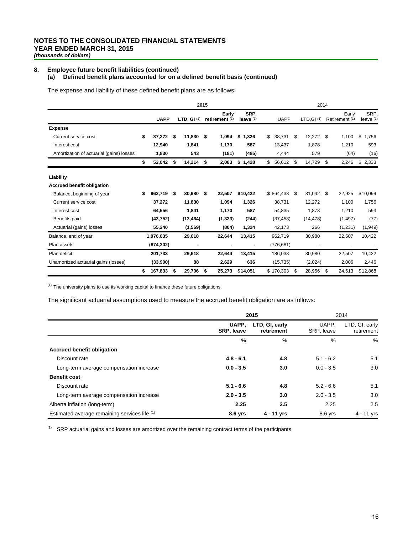# **8. Employee future benefit liabilities (continued)**

# **(a) Defined benefit plans accounted for on a defined benefit basis (continued)**

The expense and liability of these defined benefit plans are as follows:

|                                          |    |             |     |               | 2015 |                         |                     | 2014 |             |    |                       |     |                                    |                     |
|------------------------------------------|----|-------------|-----|---------------|------|-------------------------|---------------------|------|-------------|----|-----------------------|-----|------------------------------------|---------------------|
|                                          |    | <b>UAPP</b> |     | LTD, GI $(1)$ |      | Early<br>retirement (1) | SRP,<br>leave $(1)$ |      | <b>UAPP</b> |    | LTD.GI <sup>(1)</sup> |     | Early<br>Retirement <sup>(1)</sup> | SRP.<br>leave $(1)$ |
| <b>Expense</b>                           |    |             |     |               |      |                         |                     |      |             |    |                       |     |                                    |                     |
| Current service cost                     | \$ | 37,272 \$   |     | 11,830        | - \$ | 1,094                   | \$<br>1,326         | \$   | 38,731      | \$ | 12,272                | -\$ | 1,100                              | \$<br>1,756         |
| Interest cost                            |    | 12,940      |     | 1,841         |      | 1,170                   | 587                 |      | 13,437      |    | 1,878                 |     | 1,210                              | 593                 |
| Amortization of actuarial (gains) losses |    | 1,830       |     | 543           |      | (181)                   | (485)               |      | 4,444       |    | 579                   |     | (64)                               | (16)                |
|                                          | \$ | 52,042      | \$  | 14,214        | - \$ | 2,083                   | \$1,428             | \$   | 56,612      | S. | 14,729                | \$  | 2,246                              | \$2,333             |
| Liability                                |    |             |     |               |      |                         |                     |      |             |    |                       |     |                                    |                     |
| <b>Accrued benefit obligation</b>        |    |             |     |               |      |                         |                     |      |             |    |                       |     |                                    |                     |
| Balance, beginning of year               | S  | 962.719     | -\$ | 30,980        | - \$ | 22,507                  | \$10,422            |      | \$864,438   | \$ | 31,042                | \$  | 22,925                             | \$10,099            |
| Current service cost                     |    | 37,272      |     | 11,830        |      | 1,094                   | 1,326               |      | 38,731      |    | 12,272                |     | 1,100                              | 1,756               |
| Interest cost                            |    | 64,556      |     | 1,841         |      | 1,170                   | 587                 |      | 54,835      |    | 1,878                 |     | 1,210                              | 593                 |
| Benefits paid                            |    | (43, 752)   |     | (13, 464)     |      | (1, 323)                | (244)               |      | (37, 458)   |    | (14, 478)             |     | (1, 497)                           | (77)                |
| Actuarial (gains) losses                 |    | 55,240      |     | (1, 569)      |      | (804)                   | 1,324               |      | 42,173      |    | 266                   |     | (1,231)                            | (1,949)             |
| Balance, end of year                     |    | 1,076,035   |     | 29,618        |      | 22,644                  | 13,415              |      | 962,719     |    | 30,980                |     | 22,507                             | 10,422              |
| Plan assets                              |    | (874, 302)  |     |               |      |                         |                     |      | (776, 681)  |    |                       |     |                                    |                     |
| Plan deficit                             |    | 201,733     |     | 29,618        |      | 22,644                  | 13,415              |      | 186,038     |    | 30,980                |     | 22,507                             | 10,422              |
| Unamortized actuarial gains (losses)     |    | (33,900)    |     | 88            |      | 2,629                   | 636                 |      | (15, 735)   |    | (2,024)               |     | 2,006                              | 2,446               |
|                                          | \$ | 167,833     | \$  | 29,706        | \$   | 25,273                  | \$14,051            |      | \$170,303   | \$ | 28,956                | \$  | 24,513                             | \$12,868            |

 $(1)$  The university plans to use its working capital to finance these future obligations.

The significant actuarial assumptions used to measure the accrued benefit obligation are as follows:

|                                               |                            | 2015                         |                     | 2014                         |  |
|-----------------------------------------------|----------------------------|------------------------------|---------------------|------------------------------|--|
|                                               | UAPP,<br><b>SRP, leave</b> | LTD, GI, early<br>retirement | UAPP.<br>SRP, leave | LTD, GI, early<br>retirement |  |
|                                               | %                          | %                            | $\%$                | %                            |  |
| <b>Accrued benefit obligation</b>             |                            |                              |                     |                              |  |
| Discount rate                                 | $4.8 - 6.1$                | 4.8                          | $5.1 - 6.2$         | 5.1                          |  |
| Long-term average compensation increase       | $0.0 - 3.5$                | 3.0                          | $0.0 - 3.5$         | 3.0                          |  |
| <b>Benefit cost</b>                           |                            |                              |                     |                              |  |
| Discount rate                                 | $5.1 - 6.6$                | 4.8                          | $5.2 - 6.6$         | 5.1                          |  |
| Long-term average compensation increase       | $2.0 - 3.5$                | 3.0                          | $2.0 - 3.5$         | 3.0                          |  |
| Alberta inflation (long-term)                 | 2.25                       | 2.5                          | 2.25                | 2.5                          |  |
| Estimated average remaining services life (1) | 8.6 yrs                    | $4 - 11$ yrs                 | 8.6 yrs             | $4 - 11$ yrs                 |  |

 $(1)$  SRP actuarial gains and losses are amortized over the remaining contract terms of the participants.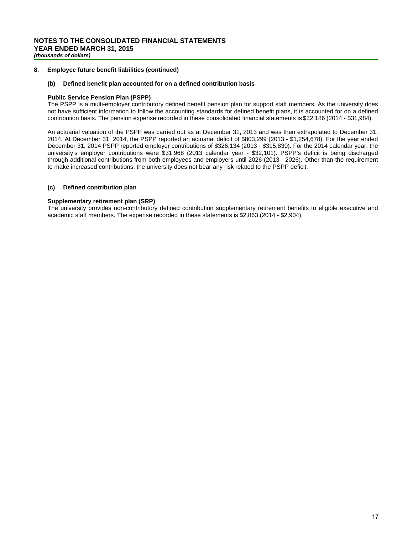# **8. Employee future benefit liabilities (continued)**

#### **(b) Defined benefit plan accounted for on a defined contribution basis**

#### **Public Service Pension Plan (PSPP)**

The PSPP is a multi-employer contributory defined benefit pension plan for support staff members. As the university does not have sufficient information to follow the accounting standards for defined benefit plans, it is accounted for on a defined contribution basis. The pension expense recorded in these consolidated financial statements is \$32,186 (2014 - \$31,984).

An actuarial valuation of the PSPP was carried out as at December 31, 2013 and was then extrapolated to December 31, 2014. At December 31, 2014, the PSPP reported an actuarial deficit of \$803,299 (2013 - \$1,254,678). For the year ended December 31, 2014 PSPP reported employer contributions of \$326,134 (2013 - \$315,830). For the 2014 calendar year, the university's employer contributions were \$31,968 (2013 calendar year - \$32,101). PSPP's deficit is being discharged through additional contributions from both employees and employers until 2026 (2013 - 2026). Other than the requirement to make increased contributions, the university does not bear any risk related to the PSPP deficit.

#### **(c) Defined contribution plan**

#### **Supplementary retirement plan (SRP)**

The university provides non-contributory defined contribution supplementary retirement benefits to eligible executive and academic staff members. The expense recorded in these statements is \$2,863 (2014 - \$2,904).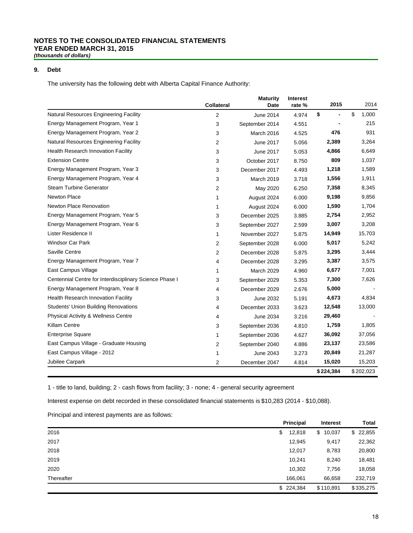# **NOTES TO THE CONSOLIDATED FINANCIAL STATEMENTS YEAR ENDED MARCH 31, 2015**

*(thousands of dollars)*

# **9. Debt**

The university has the following debt with Alberta Capital Finance Authority:

|                                                         | <b>Collateral</b> | <b>Maturity</b><br>Date | Interest<br>rate % | 2015      | 2014        |
|---------------------------------------------------------|-------------------|-------------------------|--------------------|-----------|-------------|
| Natural Resources Engineering Facility                  | $\overline{2}$    | June 2014               | 4.974              | \$        | \$<br>1,000 |
| Energy Management Program, Year 1                       | 3                 | September 2014          | 4.551              |           | 215         |
| Energy Management Program, Year 2                       | 3                 | March 2016              | 4.525              | 476       | 931         |
| Natural Resources Engineering Facility                  | 2                 | June 2017               | 5.056              | 2,389     | 3,264       |
| Health Research Innovation Facility                     | 3                 | June 2017               | 5.053              | 4,866     | 6,649       |
| <b>Extension Centre</b>                                 | 3                 | October 2017            | 8.750              | 809       | 1,037       |
| Energy Management Program, Year 3                       | 3                 | December 2017           | 4.493              | 1,218     | 1,589       |
| Energy Management Program, Year 4                       | 3                 | March 2019              | 3.718              | 1,556     | 1,911       |
| <b>Steam Turbine Generator</b>                          | 2                 | May 2020                | 6.250              | 7,358     | 8,345       |
| <b>Newton Place</b>                                     | 1                 | August 2024             | 6.000              | 9,198     | 9,856       |
| <b>Newton Place Renovation</b>                          | 1                 | August 2024             | 6.000              | 1,590     | 1,704       |
| Energy Management Program, Year 5                       | 3                 | December 2025           | 3.885              | 2,754     | 2,952       |
| Energy Management Program, Year 6                       | 3                 | September 2027          | 2.599              | 3,007     | 3,208       |
| Lister Residence II                                     | 1                 | November 2027           | 5.875              | 14,949    | 15,703      |
| Windsor Car Park                                        | 2                 | September 2028          | 6.000              | 5,017     | 5,242       |
| Saville Centre                                          | 2                 | December 2028           | 5.875              | 3,295     | 3,444       |
| Energy Management Program, Year 7                       | 4                 | December 2028           | 3.295              | 3,387     | 3,575       |
| East Campus Village                                     | 1                 | <b>March 2029</b>       | 4.960              | 6,677     | 7,001       |
| Centennial Centre for Interdisciplinary Science Phase I | 3                 | September 2029          | 5.353              | 7,300     | 7,626       |
| Energy Management Program, Year 8                       | 4                 | December 2029           | 2.676              | 5,000     |             |
| Health Research Innovation Facility                     | 3                 | <b>June 2032</b>        | 5.191              | 4,673     | 4,834       |
| <b>Students' Union Building Renovations</b>             | 4                 | December 2033           | 3.623              | 12,548    | 13,000      |
| Physical Activity & Wellness Centre                     | 4                 | <b>June 2034</b>        | 3.216              | 29,460    |             |
| <b>Killam Centre</b>                                    | 3                 | September 2036          | 4.810              | 1,759     | 1,805       |
| <b>Enterprise Square</b>                                | 1                 | September 2036          | 4.627              | 36,092    | 37,056      |
| East Campus Village - Graduate Housing                  | 2                 | September 2040          | 4.886              | 23,137    | 23,586      |
| East Campus Village - 2012                              | 1                 | June 2043               | 3.273              | 20,849    | 21,287      |
| Jubilee Carpark                                         | 2                 | December 2047           | 4.814              | 15,020    | 15,203      |
|                                                         |                   |                         |                    | \$224,384 | \$202,023   |

1 - title to land, building; 2 - cash flows from facility; 3 - none; 4 - general security agreement

Interest expense on debt recorded in these consolidated financial statements is \$10,283 (2014 - \$10,088).

Principal and interest payments are as follows:

|            | <b>Principal</b> | <b>Interest</b> | <b>Total</b> |
|------------|------------------|-----------------|--------------|
| 2016       | \$<br>12,818     | 10,037<br>\$    | \$22,855     |
| 2017       | 12,945           | 9,417           | 22,362       |
| 2018       | 12,017           | 8,783           | 20,800       |
| 2019       | 10.241           | 8,240           | 18,481       |
| 2020       | 10,302           | 7,756           | 18,058       |
| Thereafter | 166,061          | 66,658          | 232,719      |
|            | \$224,384        | \$110,891       | \$335,275    |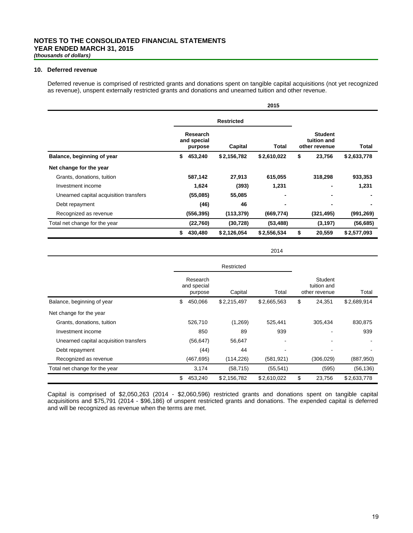#### **10. Deferred revenue**

Deferred revenue is comprised of restricted grants and donations spent on tangible capital acquisitions (not yet recognized as revenue), unspent externally restricted grants and donations and unearned tuition and other revenue.

|                                        |                                    |                   | 2015        |                                                |                |
|----------------------------------------|------------------------------------|-------------------|-------------|------------------------------------------------|----------------|
|                                        |                                    | <b>Restricted</b> |             |                                                |                |
|                                        | Research<br>and special<br>purpose | Capital           | Total       | <b>Student</b><br>tuition and<br>other revenue | Total          |
| Balance, beginning of year             | 453,240<br>\$                      | \$2,156,782       | \$2,610,022 | \$<br>23,756                                   | \$2,633,778    |
| Net change for the year                |                                    |                   |             |                                                |                |
| Grants, donations, tuition             | 587,142                            | 27,913            | 615,055     | 318,298                                        | 933,353        |
| Investment income                      | 1,624                              | (393)             | 1,231       | $\blacksquare$                                 | 1,231          |
| Unearned capital acquisition transfers | (55,085)                           | 55,085            | ۰           | $\blacksquare$                                 |                |
| Debt repayment                         | (46)                               | 46                |             | $\blacksquare$                                 | $\blacksquare$ |
| Recognized as revenue                  | (556, 395)                         | (113, 379)        | (669,774)   | (321, 495)                                     | (991, 269)     |
| Total net change for the year          | (22,760)                           | (30, 728)         | (53, 488)   | (3, 197)                                       | (56, 685)      |
|                                        | \$<br>430,480                      | \$2,126,054       | \$2,556,534 | \$<br>20,559                                   | \$2,577,093    |

2014

|                                        |                                    | Restricted  |                          |                                         |            |             |
|----------------------------------------|------------------------------------|-------------|--------------------------|-----------------------------------------|------------|-------------|
|                                        | Research<br>and special<br>purpose | Capital     | Total                    | Student<br>tuition and<br>other revenue |            | Total       |
| Balance, beginning of year             | \$<br>450,066                      | \$2,215,497 | \$2,665,563              | \$                                      | 24,351     | \$2,689,914 |
| Net change for the year                |                                    |             |                          |                                         |            |             |
| Grants, donations, tuition             | 526,710                            | (1,269)     | 525,441                  |                                         | 305,434    | 830,875     |
| Investment income                      | 850                                | 89          | 939                      |                                         |            | 939         |
| Unearned capital acquisition transfers | (56, 647)                          | 56,647      | $\overline{\phantom{a}}$ |                                         |            |             |
| Debt repayment                         | (44)                               | 44          |                          |                                         |            |             |
| Recognized as revenue                  | (467, 695)                         | (114, 226)  | (581, 921)               |                                         | (306, 029) | (887,950)   |
| Total net change for the year          | 3,174                              | (58, 715)   | (55, 541)                |                                         | (595)      | (56, 136)   |
|                                        | \$<br>453,240                      | \$2,156,782 | \$2,610,022              | \$                                      | 23,756     | \$2,633,778 |

Capital is comprised of \$2,050,263 (2014 - \$2,060,596) restricted grants and donations spent on tangible capital acquisitions and \$75,791 (2014 - \$96,186) of unspent restricted grants and donations. The expended capital is deferred and will be recognized as revenue when the terms are met.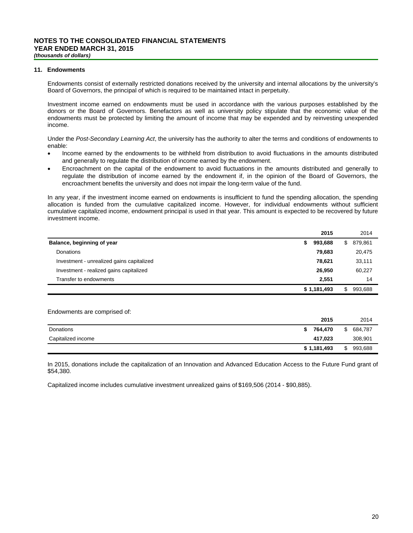# **11. Endowments**

Endowments consist of externally restricted donations received by the university and internal allocations by the university's Board of Governors, the principal of which is required to be maintained intact in perpetuity.

Investment income earned on endowments must be used in accordance with the various purposes established by the donors or the Board of Governors. Benefactors as well as university policy stipulate that the economic value of the endowments must be protected by limiting the amount of income that may be expended and by reinvesting unexpended income.

Under the *Post-Secondary Learning Act*, the university has the authority to alter the terms and conditions of endowments to enable:

- Income earned by the endowments to be withheld from distribution to avoid fluctuations in the amounts distributed and generally to regulate the distribution of income earned by the endowment.
- Encroachment on the capital of the endowment to avoid fluctuations in the amounts distributed and generally to regulate the distribution of income earned by the endowment if, in the opinion of the Board of Governors, the encroachment benefits the university and does not impair the long-term value of the fund.

In any year, if the investment income earned on endowments is insufficient to fund the spending allocation, the spending allocation is funded from the cumulative capitalized income. However, for individual endowments without sufficient cumulative capitalized income, endowment principal is used in that year. This amount is expected to be recovered by future investment income.

|                                           |   | 2015        | 2014          |
|-------------------------------------------|---|-------------|---------------|
| Balance, beginning of year                | S | 993,688     | \$<br>879,861 |
| Donations                                 |   | 79.683      | 20,475        |
| Investment - unrealized gains capitalized |   | 78.621      | 33,111        |
| Investment - realized gains capitalized   |   | 26,950      | 60,227        |
| Transfer to endowments                    |   | 2.551       | 14            |
|                                           |   | \$1,181,493 | 993,688       |
|                                           |   |             |               |

Endowments are comprised of:

|                    | 2015        | 2014          |
|--------------------|-------------|---------------|
| <b>Donations</b>   | 764.470     | \$<br>684,787 |
| Capitalized income | 417.023     | 308,901       |
|                    | \$1,181,493 | \$<br>993,688 |

In 2015, donations include the capitalization of an Innovation and Advanced Education Access to the Future Fund grant of \$54,380.

Capitalized income includes cumulative investment unrealized gains of \$169,506 (2014 - \$90,885).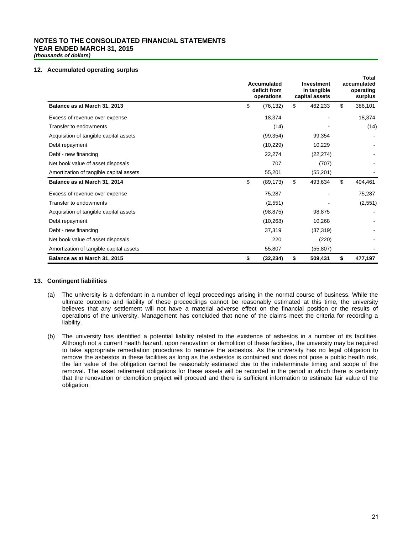# **NOTES TO THE CONSOLIDATED FINANCIAL STATEMENTS YEAR ENDED MARCH 31, 2015**

*(thousands of dollars)*

# **12. Accumulated operating surplus**

|                                         | Accumulated<br>deficit from<br>operations |           |    | <b>Investment</b><br>in tangible<br>capital assets | Total<br>accumulated<br>operating<br>surplus |  |
|-----------------------------------------|-------------------------------------------|-----------|----|----------------------------------------------------|----------------------------------------------|--|
| Balance as at March 31, 2013            | \$                                        | (76, 132) | \$ | 462,233                                            | \$<br>386,101                                |  |
| Excess of revenue over expense          |                                           | 18,374    |    |                                                    | 18,374                                       |  |
| Transfer to endowments                  |                                           | (14)      |    |                                                    | (14)                                         |  |
| Acquisition of tangible capital assets  |                                           | (99, 354) |    | 99,354                                             |                                              |  |
| Debt repayment                          |                                           | (10, 229) |    | 10,229                                             |                                              |  |
| Debt - new financing                    |                                           | 22,274    |    | (22, 274)                                          |                                              |  |
| Net book value of asset disposals       |                                           | 707       |    | (707)                                              |                                              |  |
| Amortization of tangible capital assets |                                           | 55,201    |    | (55, 201)                                          |                                              |  |
| Balance as at March 31, 2014            | \$                                        | (89, 173) | \$ | 493,634                                            | \$<br>404,461                                |  |
| Excess of revenue over expense          |                                           | 75,287    |    |                                                    | 75,287                                       |  |
| Transfer to endowments                  |                                           | (2, 551)  |    |                                                    | (2,551)                                      |  |
| Acquisition of tangible capital assets  |                                           | (98, 875) |    | 98,875                                             |                                              |  |
| Debt repayment                          |                                           | (10, 268) |    | 10,268                                             |                                              |  |
| Debt - new financing                    |                                           | 37,319    |    | (37, 319)                                          |                                              |  |
| Net book value of asset disposals       |                                           | 220       |    | (220)                                              |                                              |  |
| Amortization of tangible capital assets |                                           | 55,807    |    | (55, 807)                                          |                                              |  |
| Balance as at March 31, 2015            | \$                                        | (32, 234) | \$ | 509,431                                            | \$<br>477,197                                |  |

# **13. Contingent liabilities**

- (a) The university is a defendant in a number of legal proceedings arising in the normal course of business. While the ultimate outcome and liability of these proceedings cannot be reasonably estimated at this time, the university believes that any settlement will not have a material adverse effect on the financial position or the results of operations of the university. Management has concluded that none of the claims meet the criteria for recording a liability.
- (b) The university has identified a potential liability related to the existence of asbestos in a number of its facilities. Although not a current health hazard, upon renovation or demolition of these facilities, the university may be required to take appropriate remediation procedures to remove the asbestos. As the university has no legal obligation to remove the asbestos in these facilities as long as the asbestos is contained and does not pose a public health risk, the fair value of the obligation cannot be reasonably estimated due to the indeterminate timing and scope of the removal. The asset retirement obligations for these assets will be recorded in the period in which there is certainty that the renovation or demolition project will proceed and there is sufficient information to estimate fair value of the obligation.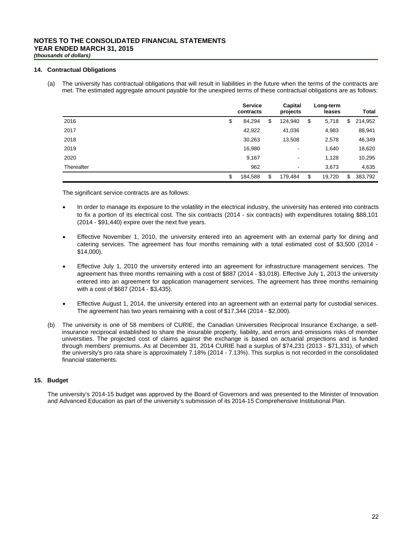# **14. Contractual Obligations**

(a) The university has contractual obligations that will result in liabilities in the future when the terms of the contracts are met. The estimated aggregate amount payable for the unexpired terms of these contractual obligations are as follows:

|            | <b>Service</b><br>contracts | Capital<br>projects | Long-term<br>leases | <b>Total</b>  |
|------------|-----------------------------|---------------------|---------------------|---------------|
| 2016       | \$<br>84,294                | \$<br>124,940       | \$<br>5,718         | \$<br>214,952 |
| 2017       | 42,922                      | 41,036              | 4,983               | 88,941        |
| 2018       | 30,263                      | 13,508              | 2,578               | 46,349        |
| 2019       | 16,980                      | $\,$                | 1,640               | 18,620        |
| 2020       | 9,167                       | $\,$                | 1,128               | 10,295        |
| Thereafter | 962                         | ۰                   | 3,673               | 4,635         |
|            | \$<br>184,588               | \$<br>179,484       | \$<br>19,720        | \$<br>383,792 |

The significant service contracts are as follows:

- In order to manage its exposure to the volatility in the electrical industry, the university has entered into contracts to fix a portion of its electrical cost. The six contracts (2014 - six contracts) with expenditures totaling \$88,101 (2014 - \$91,440) expire over the next five years.
- Effective November 1, 2010, the university entered into an agreement with an external party for dining and catering services. The agreement has four months remaining with a total estimated cost of \$3,500 (2014 - \$14,000).
- Effective July 1, 2010 the university entered into an agreement for infrastructure management services. The agreement has three months remaining with a cost of \$887 (2014 - \$3,018). Effective July 1, 2013 the university entered into an agreement for application management services. The agreement has three months remaining with a cost of \$687 (2014 - \$3,435).
- Effective August 1, 2014, the university entered into an agreement with an external party for custodial services. The agreement has two years remaining with a cost of \$17,344 (2014 - \$2,000).
- (b) The university is one of 58 members of CURIE, the Canadian Universities Reciprocal Insurance Exchange, a selfinsurance reciprocal established to share the insurable property, liability, and errors and omissions risks of member universities. The projected cost of claims against the exchange is based on actuarial projections and is funded through members' premiums. As at December 31, 2014 CURIE had a surplus of \$74,231 (2013 - \$71,331), of which the university's pro rata share is approximately 7.18% (2014 - 7.13%). This surplus is not recorded in the consolidated financial statements.

# **15. Budget**

The university's 2014-15 budget was approved by the Board of Governors and was presented to the Minister of Innovation and Advanced Education as part of the university's submission of its 2014-15 Comprehensive Institutional Plan.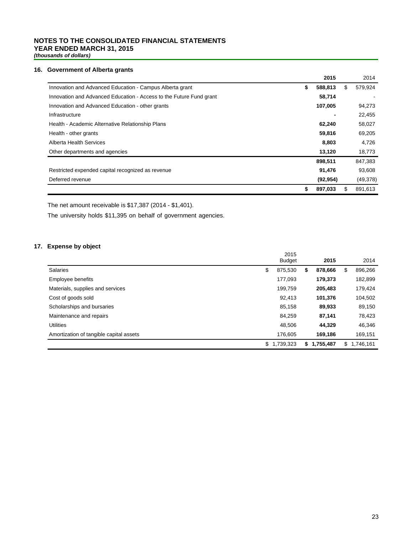# **NOTES TO THE CONSOLIDATED FINANCIAL STATEMENTS YEAR ENDED MARCH 31, 2015**

*(thousands of dollars)*

# **16. Government of Alberta grants**

|                                                                     | 2015          | 2014          |
|---------------------------------------------------------------------|---------------|---------------|
| Innovation and Advanced Education - Campus Alberta grant            | \$<br>588,813 | \$<br>579,924 |
| Innovation and Advanced Education - Access to the Future Fund grant | 58,714        |               |
| Innovation and Advanced Education - other grants                    | 107,005       | 94,273        |
| Infrastructure                                                      |               | 22,455        |
| Health - Academic Alternative Relationship Plans                    | 62,240        | 58,027        |
| Health - other grants                                               | 59,816        | 69,205        |
| Alberta Health Services                                             | 8,803         | 4,726         |
| Other departments and agencies                                      | 13,120        | 18,773        |
|                                                                     | 898,511       | 847,383       |
| Restricted expended capital recognized as revenue                   | 91,476        | 93,608        |
| Deferred revenue                                                    | (92, 954)     | (49,378)      |
|                                                                     | \$<br>897,033 | 891,613       |

The net amount receivable is \$17,387 (2014 - \$1,401).

The university holds \$11,395 on behalf of government agencies.

# **17. Expense by object**

|                                         | 2015<br><b>Budget</b> |    | 2015      |    | 2014      |
|-----------------------------------------|-----------------------|----|-----------|----|-----------|
| <b>Salaries</b>                         | \$<br>875.530         | S  | 878.666   | \$ | 896,266   |
| Employee benefits                       | 177,093               |    | 179,373   |    | 182,899   |
| Materials, supplies and services        | 199,759               |    | 205,483   |    | 179,424   |
| Cost of goods sold                      | 92,413                |    | 101,376   |    | 104,502   |
| Scholarships and bursaries              | 85,158                |    | 89,933    |    | 89,150    |
| Maintenance and repairs                 | 84.259                |    | 87.141    |    | 78,423    |
| <b>Utilities</b>                        | 48.506                |    | 44.329    |    | 46,346    |
| Amortization of tangible capital assets | 176.605               |    | 169.186   |    | 169,151   |
|                                         | 1,739,323<br>\$       | S. | 1,755,487 | S. | 1,746,161 |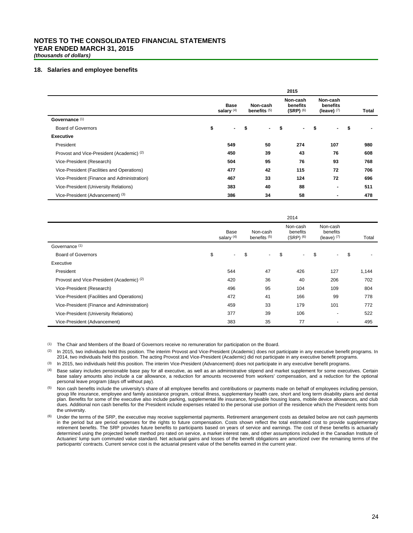# **NOTES TO THE CONSOLIDATED FINANCIAL STATEMENTS YEAR ENDED MARCH 31, 2015**

*(thousands of dollars)*

#### **18. Salaries and employee benefits**

|                                             | 2015 |                             |                            |    |                                       |     |                                       |                |    |       |  |
|---------------------------------------------|------|-----------------------------|----------------------------|----|---------------------------------------|-----|---------------------------------------|----------------|----|-------|--|
|                                             |      | <b>Base</b><br>salary $(4)$ | Non-cash<br>benefits $(5)$ |    | Non-cash<br>benefits<br>$(SRP)^{(6)}$ |     | Non-cash<br>benefits<br>(leave) $(7)$ |                |    | Total |  |
| Governance (1)                              |      |                             |                            |    |                                       |     |                                       |                |    |       |  |
| <b>Board of Governors</b>                   | \$   | ۰.                          | \$                         | ۰. | \$                                    | . . | \$                                    | ۰              | \$ |       |  |
| <b>Executive</b>                            |      |                             |                            |    |                                       |     |                                       |                |    |       |  |
| President                                   |      | 549                         |                            | 50 |                                       | 274 |                                       | 107            |    | 980   |  |
| Provost and Vice-President (Academic) (2)   |      | 450                         |                            | 39 |                                       | 43  |                                       | 76             |    | 608   |  |
| Vice-President (Research)                   |      | 504                         |                            | 95 |                                       | 76  |                                       | 93             |    | 768   |  |
| Vice-President (Facilities and Operations)  |      | 477                         |                            | 42 |                                       | 115 |                                       | 72             |    | 706   |  |
| Vice-President (Finance and Administration) |      | 467                         |                            | 33 |                                       | 124 |                                       | 72             |    | 696   |  |
| Vice-President (University Relations)       |      | 383                         |                            | 40 |                                       | 88  |                                       | $\blacksquare$ |    | 511   |  |
| Vice-President (Advancement) (3)            |      | 386                         |                            | 34 |                                       | 58  |                                       | ۰              |    | 478   |  |

|                                             |                      |                                     |        |                                       | 2014                     |                                       |                          |       |
|---------------------------------------------|----------------------|-------------------------------------|--------|---------------------------------------|--------------------------|---------------------------------------|--------------------------|-------|
|                                             | Base<br>salary $(4)$ | Non-cash<br>benefits <sup>(5)</sup> |        | Non-cash<br>benefits<br>$(SRP)$ $(6)$ |                          | Non-cash<br>benefits<br>(leave) $(7)$ |                          | Total |
| Governance (1)                              |                      |                                     |        |                                       |                          |                                       |                          |       |
| <b>Board of Governors</b>                   | \$<br>$\sim$         | \$                                  | $\sim$ | \$                                    | $\overline{\phantom{0}}$ | \$                                    |                          | \$    |
| Executive                                   |                      |                                     |        |                                       |                          |                                       |                          |       |
| President                                   | 544                  |                                     | 47     |                                       | 426                      |                                       | 127                      | 1,144 |
| Provost and Vice-President (Academic) (2)   | 420                  |                                     | 36     |                                       | 40                       |                                       | 206                      | 702   |
| Vice-President (Research)                   | 496                  |                                     | 95     |                                       | 104                      |                                       | 109                      | 804   |
| Vice-President (Facilities and Operations)  | 472                  |                                     | 41     |                                       | 166                      |                                       | 99                       | 778   |
| Vice-President (Finance and Administration) | 459                  |                                     | 33     |                                       | 179                      |                                       | 101                      | 772   |
| Vice-President (University Relations)       | 377                  |                                     | 39     |                                       | 106                      |                                       | $\overline{a}$           | 522   |
| Vice-President (Advancement)                | 383                  |                                     | 35     |                                       | 77                       |                                       | $\overline{\phantom{a}}$ | 495   |

(1) The Chair and Members of the Board of Governors receive no remuneration for participation on the Board.

(2) In 2015, two individuals held this position. The interim Provost and Vice-President (Academic) does not participate in any executive benefit programs. In 2014, two individuals held this position. The acting Provost and Vice-President (Academic) did not participate in any executive benefit programs.

(3) In 2015, two individuals held this position. The interim Vice-President (Advancement) does not participate in any executive benefit programs.

(4) Base salary includes pensionable base pay for all executive, as well as an administrative stipend and market supplement for some executives. Certain base salary amounts also include a car allowance, a reduction for amounts recovered from workers' compensation, and a reduction for the optional personal leave program (days off without pay).

(5) Non cash benefits include the university's share of all employee benefits and contributions or payments made on behalf of employees including pension, group life insurance, employee and family assistance program, critical illness, supplementary health care, short and long term disability plans and dental plan. Benefits for some of the executive also include parking, supplemental life insurance, forgivable housing loans, mobile device allowances, and club dues. Additional non cash benefits for the President include expenses related to the personal use portion of the residence which the President rents from the university.

Under the terms of the SRP, the executive may receive supplemental payments. Retirement arrangement costs as detailed below are not cash payments in the period but are period expenses for the rights to future compensation. Costs shown reflect the total estimated cost to provide supplementary retirement benefits. The SRP provides future benefits to participants based on years of service and earnings. The cost of these benefits is actuarially determined using the projected benefit method pro rated on service, a market interest rate, and other assumptions included in the Canadian Institute of Actuaries' lump sum commuted value standard. Net actuarial gains and losses of the benefit obligations are amortized over the remaining terms of the participants' contracts. Current service cost is the actuarial present value of the benefits earned in the current year.